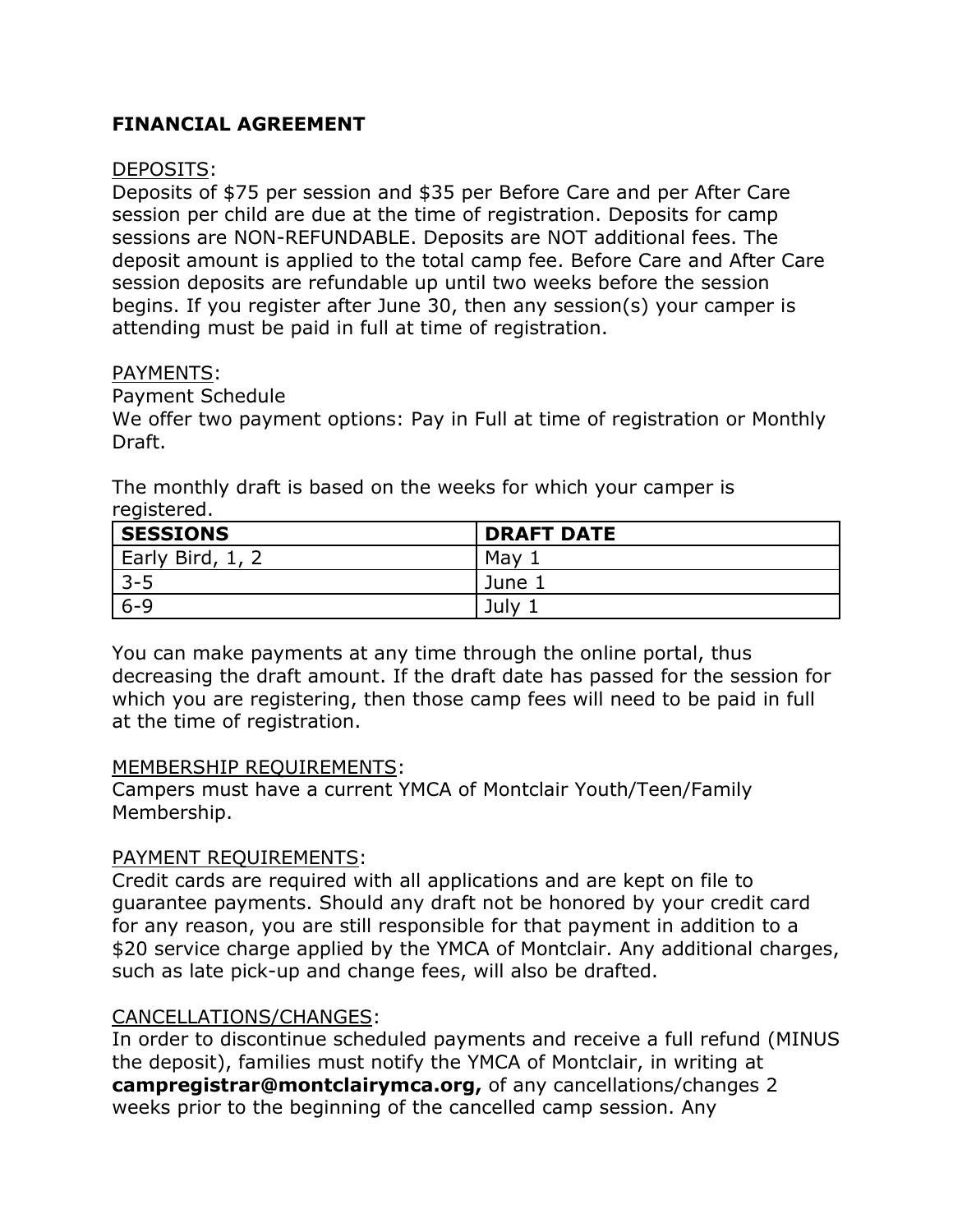# **FINANCIAL AGREEMENT**

# DEPOSITS:

Deposits of \$75 per session and \$35 per Before Care and per After Care session per child are due at the time of registration. Deposits for camp sessions are NON-REFUNDABLE. Deposits are NOT additional fees. The deposit amount is applied to the total camp fee. Before Care and After Care session deposits are refundable up until two weeks before the session begins. If you register after June 30, then any session(s) your camper is attending must be paid in full at time of registration.

#### PAYMENTS:

## Payment Schedule

We offer two payment options: Pay in Full at time of registration or Monthly Draft.

The monthly draft is based on the weeks for which your camper is registered.

| <b>SESSIONS</b>  | <b>DRAFT DATE</b> |
|------------------|-------------------|
| Early Bird, 1, 2 | May               |
| $3 - 5$          | June 1            |
| $6 - 9$          | July              |

You can make payments at any time through the online portal, thus decreasing the draft amount. If the draft date has passed for the session for which you are registering, then those camp fees will need to be paid in full at the time of registration.

#### MEMBERSHIP REQUIREMENTS:

Campers must have a current YMCA of Montclair Youth/Teen/Family Membership.

# PAYMENT REQUIREMENTS:

Credit cards are required with all applications and are kept on file to guarantee payments. Should any draft not be honored by your credit card for any reason, you are still responsible for that payment in addition to a \$20 service charge applied by the YMCA of Montclair. Any additional charges, such as late pick-up and change fees, will also be drafted.

# CANCELLATIONS/CHANGES:

In order to discontinue scheduled payments and receive a full refund (MINUS the deposit), families must notify the YMCA of Montclair, in writing at **campregistrar@montclairymca.org,** of any cancellations/changes 2 weeks prior to the beginning of the cancelled camp session. Any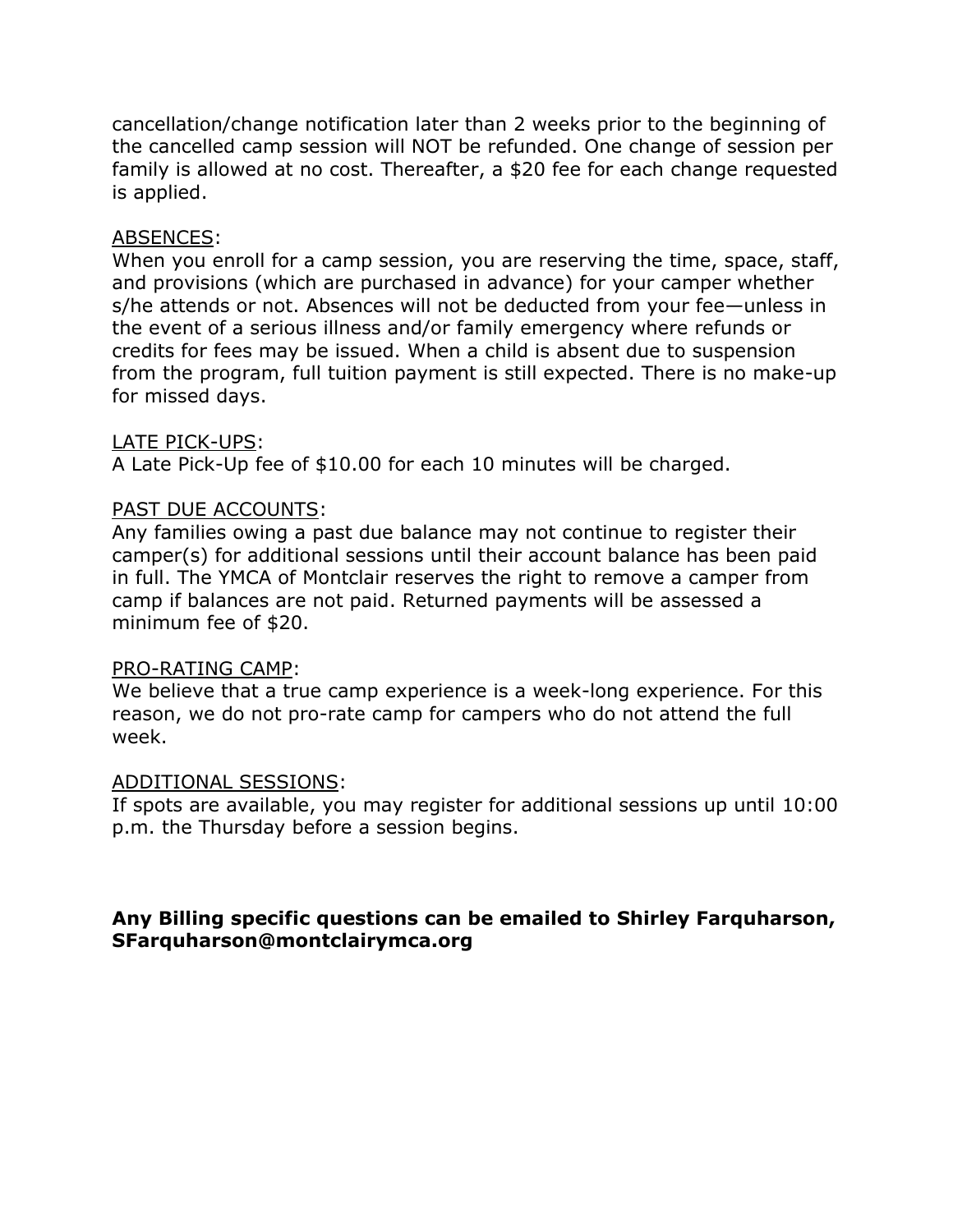cancellation/change notification later than 2 weeks prior to the beginning of the cancelled camp session will NOT be refunded. One change of session per family is allowed at no cost. Thereafter, a \$20 fee for each change requested is applied.

## ABSENCES:

When you enroll for a camp session, you are reserving the time, space, staff, and provisions (which are purchased in advance) for your camper whether s/he attends or not. Absences will not be deducted from your fee—unless in the event of a serious illness and/or family emergency where refunds or credits for fees may be issued. When a child is absent due to suspension from the program, full tuition payment is still expected. There is no make-up for missed days.

#### LATE PICK-UPS:

A Late Pick-Up fee of \$10.00 for each 10 minutes will be charged.

## PAST DUE ACCOUNTS:

Any families owing a past due balance may not continue to register their camper(s) for additional sessions until their account balance has been paid in full. The YMCA of Montclair reserves the right to remove a camper from camp if balances are not paid. Returned payments will be assessed a minimum fee of \$20.

#### PRO-RATING CAMP:

We believe that a true camp experience is a week-long experience. For this reason, we do not pro-rate camp for campers who do not attend the full week.

#### ADDITIONAL SESSIONS:

If spots are available, you may register for additional sessions up until 10:00 p.m. the Thursday before a session begins.

# **Any Billing specific questions can be emailed to Shirley Farquharson, SFarquharson@montclairymca.org**